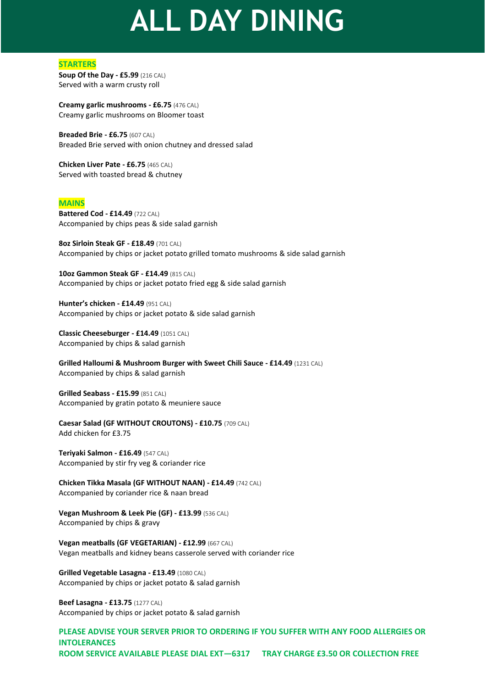# **ALL DAY DINING**

### **STARTERS**

**Soup Of the Day - £5.99** (216 CAL) Served with a warm crusty roll

**Creamy garlic mushrooms - £6.75** (476 CAL) Creamy garlic mushrooms on Bloomer toast

**Breaded Brie - £6.75** (607 CAL) Breaded Brie served with onion chutney and dressed salad

**Chicken Liver Pate - £6.75** (465 CAL) Served with toasted bread & chutney

### **MAINS**

**Battered Cod - £14.49** (722 CAL) Accompanied by chips peas & side salad garnish

**8oz Sirloin Steak GF - £18.49** (701 CAL) Accompanied by chips or jacket potato grilled tomato mushrooms & side salad garnish

**10oz Gammon Steak GF - £14.49** (815 CAL) Accompanied by chips or jacket potato fried egg & side salad garnish

**Hunter's chicken - £14.49** (951 CAL) Accompanied by chips or jacket potato & side salad garnish

**Classic Cheeseburger - £14.49** (1051 CAL) Accompanied by chips & salad garnish

**Grilled Halloumi & Mushroom Burger with Sweet Chili Sauce - £14.49** (1231 CAL) Accompanied by chips & salad garnish

**Grilled Seabass - £15.99** (851 CAL) Accompanied by gratin potato & meuniere sauce

**Caesar Salad (GF WITHOUT CROUTONS) - £10.75** (709 CAL) Add chicken for £3.75

**Teriyaki Salmon - £16.49** (547 CAL) Accompanied by stir fry veg & coriander rice

**Chicken Tikka Masala (GF WITHOUT NAAN) - £14.49** (742 CAL) Accompanied by coriander rice & naan bread

**Vegan Mushroom & Leek Pie (GF) - £13.99** (536 CAL) Accompanied by chips & gravy

**Vegan meatballs (GF VEGETARIAN) - £12.99** (667 CAL) Vegan meatballs and kidney beans casserole served with coriander rice

**Grilled Vegetable Lasagna - £13.49** (1080 CAL) Accompanied by chips or jacket potato & salad garnish

**Beef Lasagna - £13.75** (1277 CAL) Accompanied by chips or jacket potato & salad garnish

**PLEASE ADVISE YOUR SERVER PRIOR TO ORDERING IF YOU SUFFER WITH ANY FOOD ALLERGIES OR INTOLERANCES ROOM SERVICE AVAILABLE PLEASE DIAL EXT—6317 TRAY CHARGE £3.50 OR COLLECTION FREE**